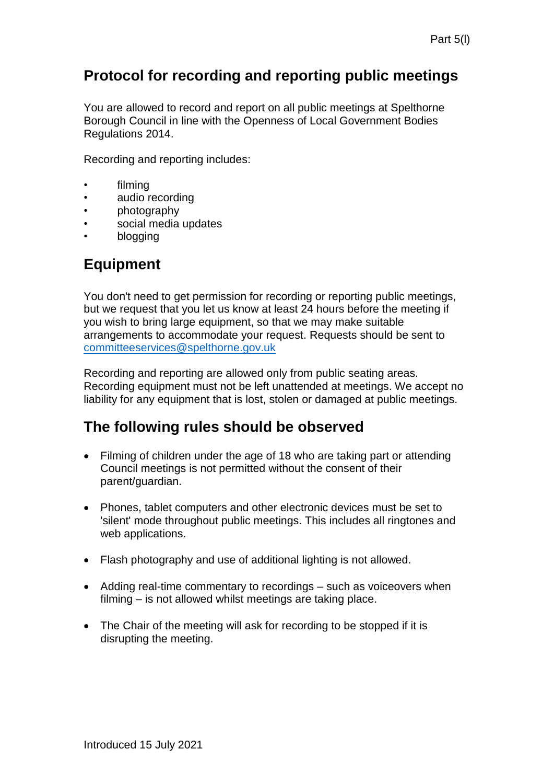#### **Protocol for recording and reporting public meetings**

You are allowed to record and report on all public meetings at Spelthorne Borough Council in line with the Openness of Local Government Bodies Regulations 2014.

Recording and reporting includes:

- filming
- audio recording
- photography
- social media updates
- blogging

## **Equipment**

You don't need to get permission for recording or reporting public meetings, but we request that you let us know at least 24 hours before the meeting if you wish to bring large equipment, so that we may make suitable arrangements to accommodate your request. Requests should be sent to [committeeservices@spelthorne.gov.uk](mailto:committeeservices@spelthorne.gov.uk)

Recording and reporting are allowed only from public seating areas. Recording equipment must not be left unattended at meetings. We accept no liability for any equipment that is lost, stolen or damaged at public meetings.

#### **The following rules should be observed**

- Filming of children under the age of 18 who are taking part or attending Council meetings is not permitted without the consent of their parent/guardian.
- Phones, tablet computers and other electronic devices must be set to 'silent' mode throughout public meetings. This includes all ringtones and web applications.
- Flash photography and use of additional lighting is not allowed.
- Adding real-time commentary to recordings such as voiceovers when filming – is not allowed whilst meetings are taking place.
- The Chair of the meeting will ask for recording to be stopped if it is disrupting the meeting.